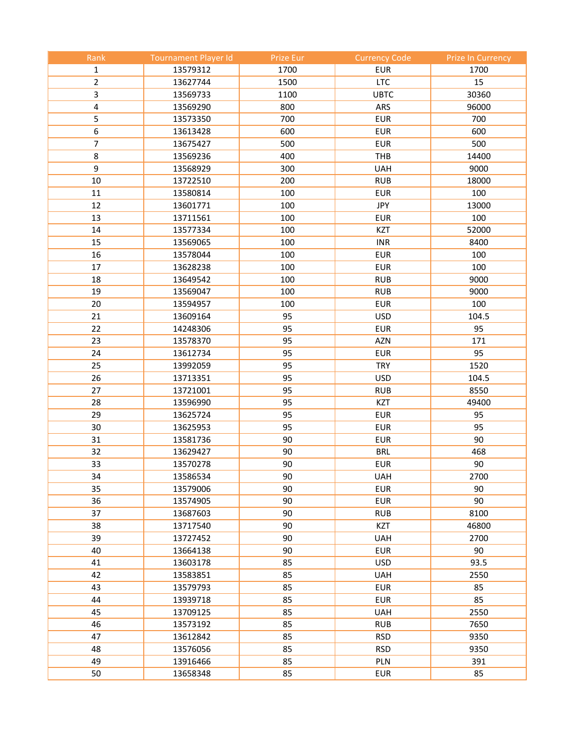| Rank           | <b>Tournament Player Id</b> | Prize Eur | <b>Currency Code</b> | <b>Prize In Currency</b> |
|----------------|-----------------------------|-----------|----------------------|--------------------------|
| 1              | 13579312                    | 1700      | <b>EUR</b>           | 1700                     |
| $\overline{2}$ | 13627744                    | 1500      | <b>LTC</b>           | 15                       |
| 3              | 13569733                    | 1100      | <b>UBTC</b>          | 30360                    |
| 4              | 13569290                    | 800       | ARS                  | 96000                    |
| 5              | 13573350                    | 700       | <b>EUR</b>           | 700                      |
| 6              | 13613428                    | 600       | <b>EUR</b>           | 600                      |
| 7              | 13675427                    | 500       | <b>EUR</b>           | 500                      |
| 8              | 13569236                    | 400       | <b>THB</b>           | 14400                    |
| 9              | 13568929                    | 300       | <b>UAH</b>           | 9000                     |
| $10\,$         | 13722510                    | 200       | <b>RUB</b>           | 18000                    |
| 11             | 13580814                    | 100       | <b>EUR</b>           | 100                      |
| 12             | 13601771                    | 100       | JPY                  | 13000                    |
| 13             | 13711561                    | 100       | <b>EUR</b>           | 100                      |
| 14             | 13577334                    | 100       | <b>KZT</b>           | 52000                    |
| 15             | 13569065                    | 100       | <b>INR</b>           | 8400                     |
| 16             | 13578044                    | 100       | <b>EUR</b>           | 100                      |
| 17             | 13628238                    | 100       | <b>EUR</b>           | 100                      |
| 18             | 13649542                    | 100       | <b>RUB</b>           | 9000                     |
| 19             | 13569047                    | 100       | <b>RUB</b>           | 9000                     |
| 20             | 13594957                    | 100       | <b>EUR</b>           | 100                      |
| 21             | 13609164                    | 95        | <b>USD</b>           | 104.5                    |
| 22             | 14248306                    | 95        | <b>EUR</b>           | 95                       |
| 23             | 13578370                    | 95        | <b>AZN</b>           | 171                      |
| 24             | 13612734                    | 95        | <b>EUR</b>           | 95                       |
| 25             | 13992059                    | 95        | <b>TRY</b>           | 1520                     |
| 26             | 13713351                    | 95        | <b>USD</b>           | 104.5                    |
| 27             | 13721001                    | 95        | <b>RUB</b>           | 8550                     |
| 28             | 13596990                    | 95        | <b>KZT</b>           | 49400                    |
| 29             | 13625724                    | 95        | <b>EUR</b>           | 95                       |
| 30             | 13625953                    | 95        | <b>EUR</b>           | 95                       |
| 31             | 13581736                    | 90        | <b>EUR</b>           | 90                       |
| 32             | 13629427                    | 90        | <b>BRL</b>           | 468                      |
| 33             | 13570278                    | 90        | <b>EUR</b>           | 90                       |
| 34             | 13586534                    | 90        | <b>UAH</b>           | 2700                     |
| 35             | 13579006                    | 90        | <b>EUR</b>           | 90                       |
| 36             | 13574905                    | 90        | <b>EUR</b>           | 90                       |
| 37             | 13687603                    | 90        | <b>RUB</b>           | 8100                     |
| 38             | 13717540                    | 90        | <b>KZT</b>           | 46800                    |
| 39             | 13727452                    | 90        | <b>UAH</b>           | 2700                     |
| 40             | 13664138                    | 90        | <b>EUR</b>           | 90                       |
| 41             | 13603178                    | 85        | <b>USD</b>           | 93.5                     |
| 42             | 13583851                    | 85        | <b>UAH</b>           | 2550                     |
| 43             | 13579793                    | 85        | <b>EUR</b>           | 85                       |
| 44             | 13939718                    | 85        | <b>EUR</b>           | 85                       |
| 45             | 13709125                    | 85        | <b>UAH</b>           | 2550                     |
| 46             | 13573192                    | 85        | <b>RUB</b>           | 7650                     |
| 47             | 13612842                    | 85        | <b>RSD</b>           | 9350                     |
| 48             | 13576056                    | 85        | <b>RSD</b>           | 9350                     |
| 49             | 13916466                    | 85        | PLN                  | 391                      |
| 50             | 13658348                    | 85        | <b>EUR</b>           | 85                       |